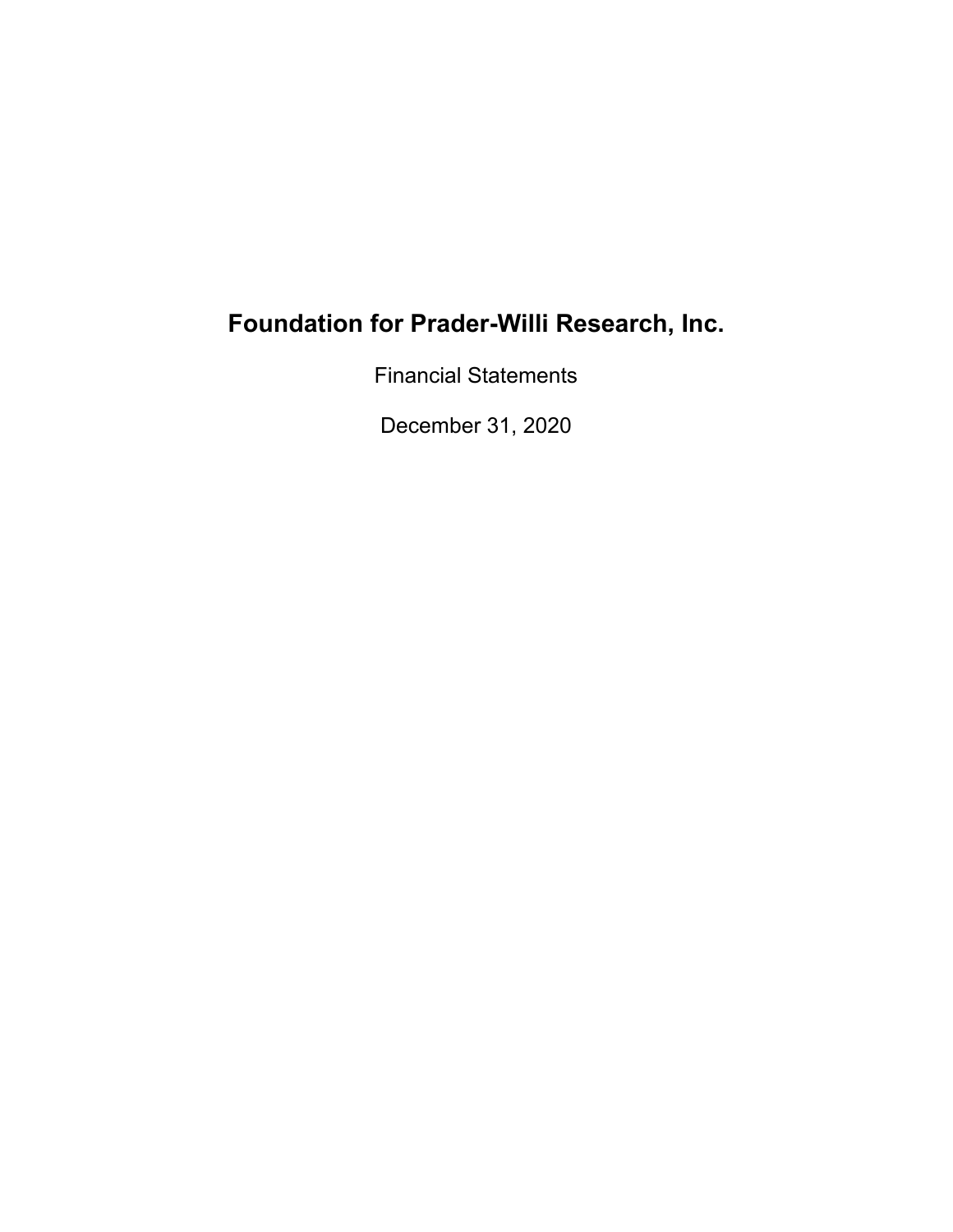Financial Statements

December 31, 2020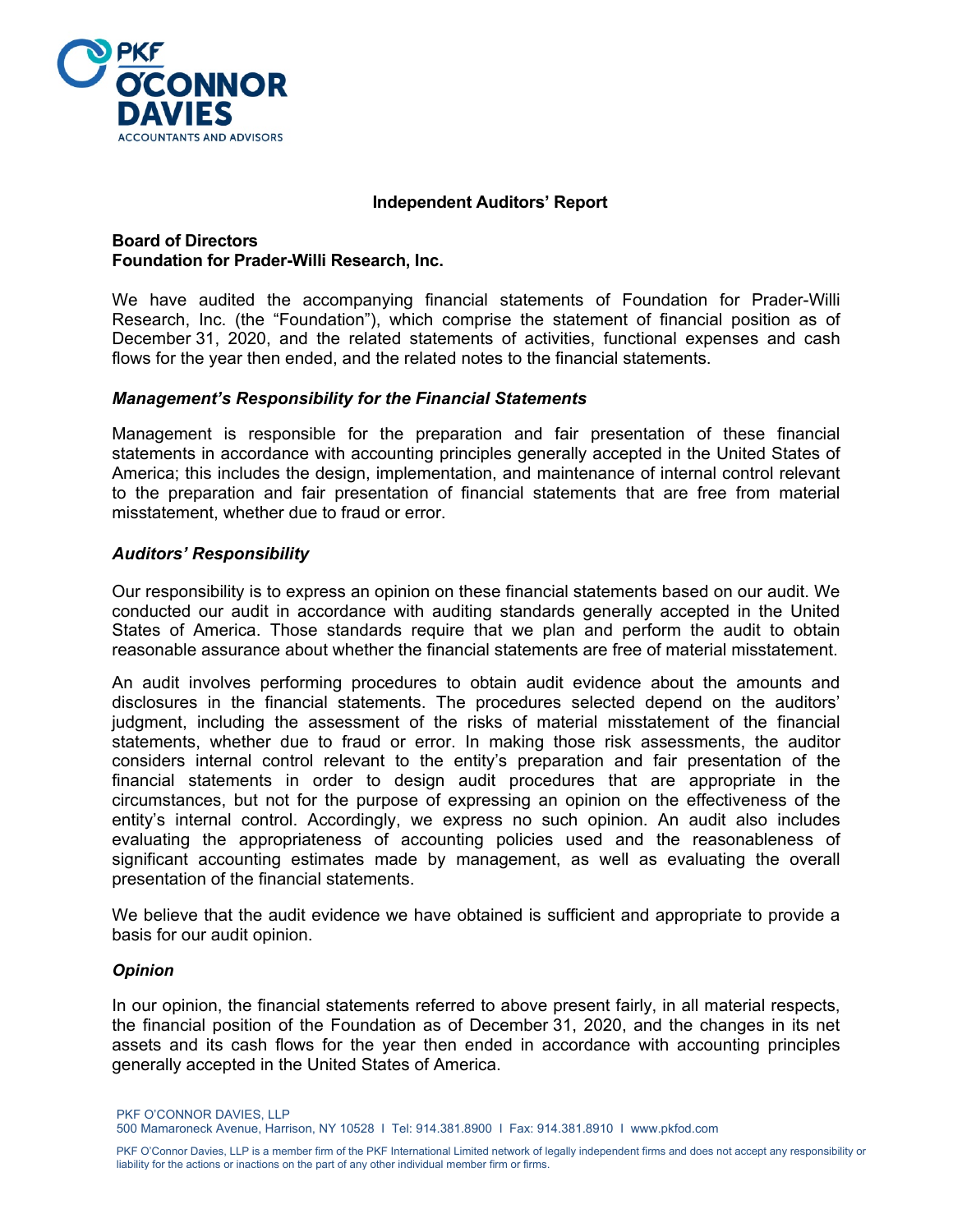

#### **Independent Auditors' Report**

#### **Board of Directors Foundation for Prader-Willi Research, Inc.**

We have audited the accompanying financial statements of Foundation for Prader-Willi Research, Inc. (the "Foundation"), which comprise the statement of financial position as of December 31, 2020, and the related statements of activities, functional expenses and cash flows for the year then ended, and the related notes to the financial statements.

#### *Management's Responsibility for the Financial Statements*

Management is responsible for the preparation and fair presentation of these financial statements in accordance with accounting principles generally accepted in the United States of America; this includes the design, implementation, and maintenance of internal control relevant to the preparation and fair presentation of financial statements that are free from material misstatement, whether due to fraud or error.

#### *Auditors' Responsibility*

Our responsibility is to express an opinion on these financial statements based on our audit. We conducted our audit in accordance with auditing standards generally accepted in the United States of America. Those standards require that we plan and perform the audit to obtain reasonable assurance about whether the financial statements are free of material misstatement.

An audit involves performing procedures to obtain audit evidence about the amounts and disclosures in the financial statements. The procedures selected depend on the auditors' judgment, including the assessment of the risks of material misstatement of the financial statements, whether due to fraud or error. In making those risk assessments, the auditor considers internal control relevant to the entity's preparation and fair presentation of the financial statements in order to design audit procedures that are appropriate in the circumstances, but not for the purpose of expressing an opinion on the effectiveness of the entity's internal control. Accordingly, we express no such opinion. An audit also includes evaluating the appropriateness of accounting policies used and the reasonableness of significant accounting estimates made by management, as well as evaluating the overall presentation of the financial statements.

We believe that the audit evidence we have obtained is sufficient and appropriate to provide a basis for our audit opinion.

#### *Opinion*

In our opinion, the financial statements referred to above present fairly, in all material respects, the financial position of the Foundation as of December 31, 2020, and the changes in its net assets and its cash flows for the year then ended in accordance with accounting principles generally accepted in the United States of America.

PKF O'CONNOR DAVIES, LLP

500 Mamaroneck Avenue, Harrison, NY 10528 I Tel: 914.381.8900 I Fax: 914.381.8910 I www.pkfod.com

PKF O'Connor Davies, LLP is a member firm of the PKF International Limited network of legally independent firms and does not accept any responsibility or liability for the actions or inactions on the part of any other individual member firm or firms.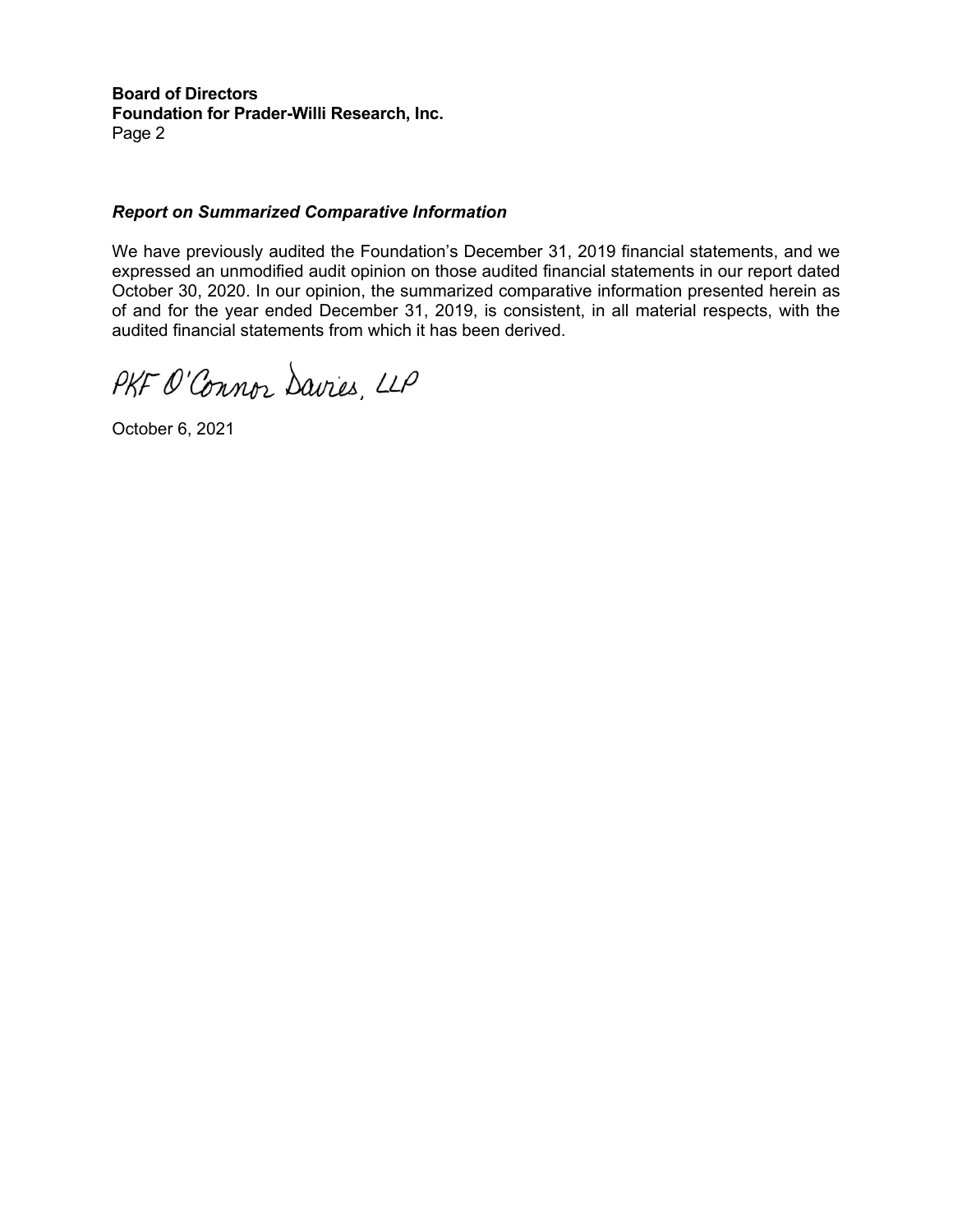**Board of Directors Foundation for Prader-Willi Research, Inc.**  Page 2

#### *Report on Summarized Comparative Information*

We have previously audited the Foundation's December 31, 2019 financial statements, and we expressed an unmodified audit opinion on those audited financial statements in our report dated October 30, 2020. In our opinion, the summarized comparative information presented herein as of and for the year ended December 31, 2019, is consistent, in all material respects, with the audited financial statements from which it has been derived.

PKF O'Connor Davies, LLP

October 6, 2021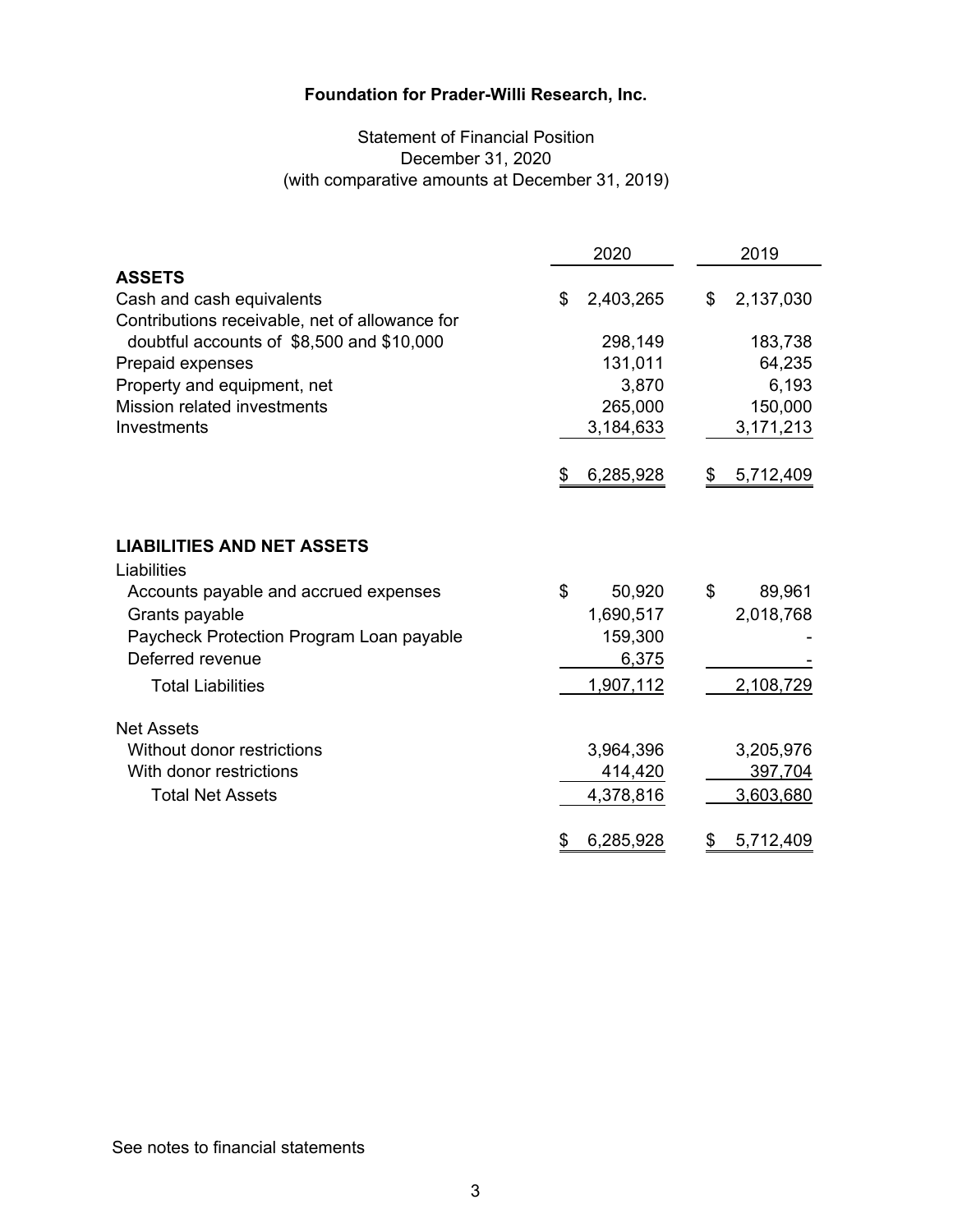## Statement of Financial Position December 31, 2020 (with comparative amounts at December 31, 2019)

|                                                                                                                                                                             | 2020 |                                         | 2019                      |  |
|-----------------------------------------------------------------------------------------------------------------------------------------------------------------------------|------|-----------------------------------------|---------------------------|--|
| <b>ASSETS</b>                                                                                                                                                               |      |                                         |                           |  |
| Cash and cash equivalents                                                                                                                                                   | \$   | 2,403,265                               | \$<br>2,137,030           |  |
| Contributions receivable, net of allowance for                                                                                                                              |      |                                         |                           |  |
| doubtful accounts of \$8,500 and \$10,000                                                                                                                                   |      | 298,149                                 | 183,738                   |  |
| Prepaid expenses                                                                                                                                                            |      | 131,011                                 | 64,235                    |  |
| Property and equipment, net                                                                                                                                                 |      | 3,870                                   | 6,193                     |  |
| Mission related investments                                                                                                                                                 |      | 265,000                                 | 150,000                   |  |
| Investments                                                                                                                                                                 |      | 3,184,633                               | 3,171,213                 |  |
|                                                                                                                                                                             | \$   | 6,285,928                               | \$<br>5,712,409           |  |
| <b>LIABILITIES AND NET ASSETS</b><br>Liabilities<br>Accounts payable and accrued expenses<br>Grants payable<br>Paycheck Protection Program Loan payable<br>Deferred revenue | \$   | 50,920<br>1,690,517<br>159,300<br>6,375 | \$<br>89,961<br>2,018,768 |  |
| <b>Total Liabilities</b>                                                                                                                                                    |      | 1,907,112                               | 2,108,729                 |  |
| <b>Net Assets</b><br>Without donor restrictions                                                                                                                             |      | 3,964,396                               | 3,205,976                 |  |
| With donor restrictions                                                                                                                                                     |      | 414,420                                 | 397,704                   |  |
| <b>Total Net Assets</b>                                                                                                                                                     |      | 4,378,816                               | 3,603,680                 |  |
|                                                                                                                                                                             | \$   | 6,285,928                               | \$<br>5,712,409           |  |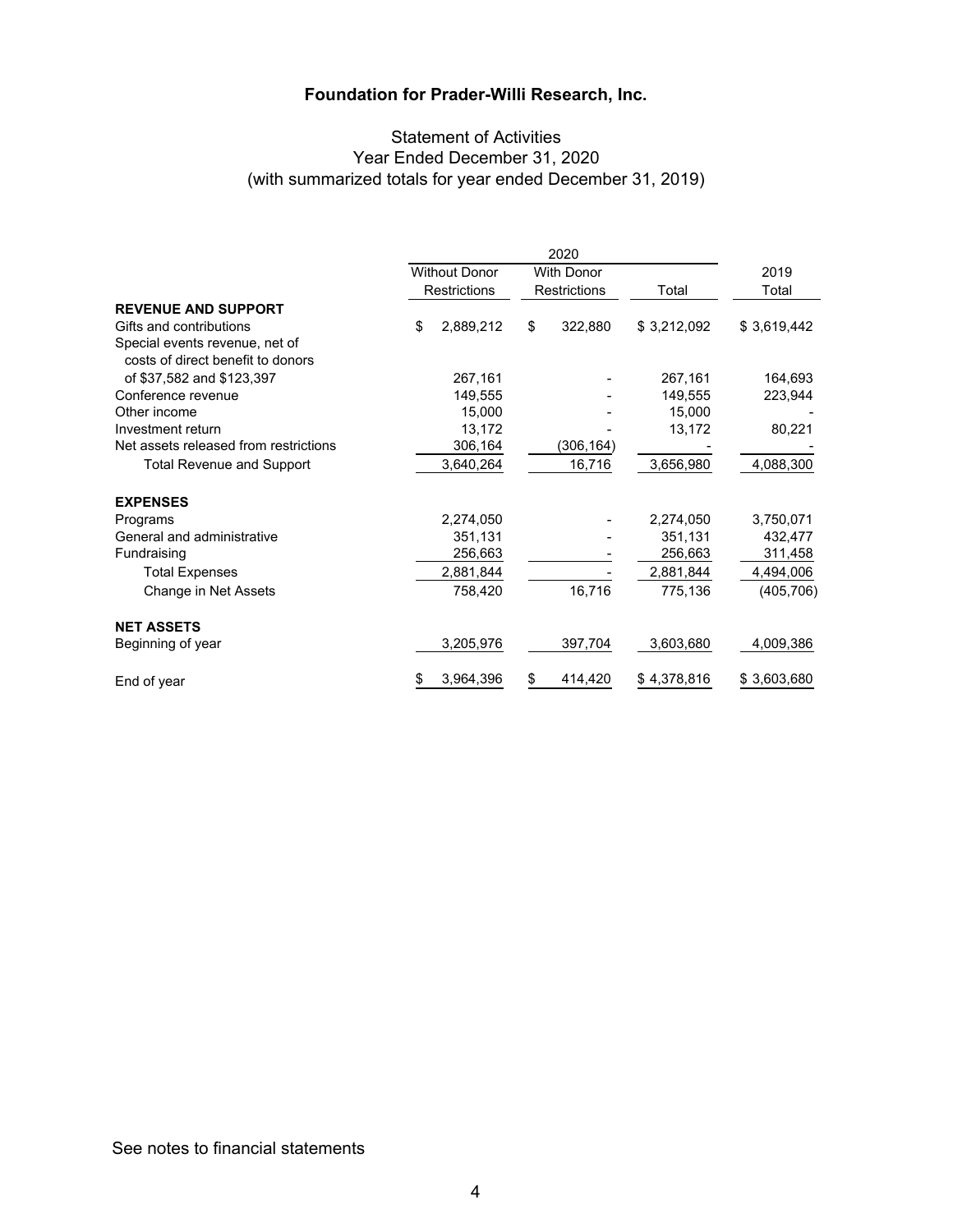## Statement of Activities Year Ended December 31, 2020 (with summarized totals for year ended December 31, 2019)

|                                                                     | 2020                |                                           |                     |           |             |               |  |
|---------------------------------------------------------------------|---------------------|-------------------------------------------|---------------------|-----------|-------------|---------------|--|
|                                                                     |                     | <b>Without Donor</b><br><b>With Donor</b> |                     |           |             | 2019<br>Total |  |
|                                                                     | <b>Restrictions</b> |                                           | <b>Restrictions</b> |           | Total       |               |  |
| <b>REVENUE AND SUPPORT</b>                                          |                     |                                           |                     |           |             |               |  |
| Gifts and contributions                                             | \$                  | 2,889,212                                 | \$                  | 322,880   | \$3,212,092 | \$3,619,442   |  |
| Special events revenue, net of<br>costs of direct benefit to donors |                     |                                           |                     |           |             |               |  |
| of \$37,582 and \$123,397                                           |                     | 267,161                                   |                     |           | 267,161     | 164,693       |  |
| Conference revenue                                                  |                     | 149,555                                   |                     |           | 149,555     | 223,944       |  |
| Other income                                                        |                     | 15,000                                    |                     |           | 15,000      |               |  |
| Investment return                                                   |                     | 13,172                                    |                     |           | 13,172      | 80,221        |  |
| Net assets released from restrictions                               |                     | 306,164                                   |                     | (306,164) |             |               |  |
| <b>Total Revenue and Support</b>                                    |                     | 3,640,264                                 |                     | 16,716    | 3,656,980   | 4,088,300     |  |
| <b>EXPENSES</b>                                                     |                     |                                           |                     |           |             |               |  |
| Programs                                                            |                     | 2,274,050                                 |                     |           | 2,274,050   | 3,750,071     |  |
| General and administrative                                          |                     | 351,131                                   |                     |           | 351,131     | 432,477       |  |
| Fundraising                                                         |                     | 256,663                                   |                     |           | 256,663     | 311,458       |  |
| <b>Total Expenses</b>                                               |                     | 2,881,844                                 |                     |           | 2,881,844   | 4,494,006     |  |
| Change in Net Assets                                                |                     | 758,420                                   |                     | 16,716    | 775,136     | (405, 706)    |  |
| <b>NET ASSETS</b>                                                   |                     |                                           |                     |           |             |               |  |
| Beginning of year                                                   |                     | 3,205,976                                 |                     | 397,704   | 3,603,680   | 4,009,386     |  |
| End of year                                                         | \$                  | 3,964,396                                 | \$                  | 414,420   | \$4,378,816 | \$3,603,680   |  |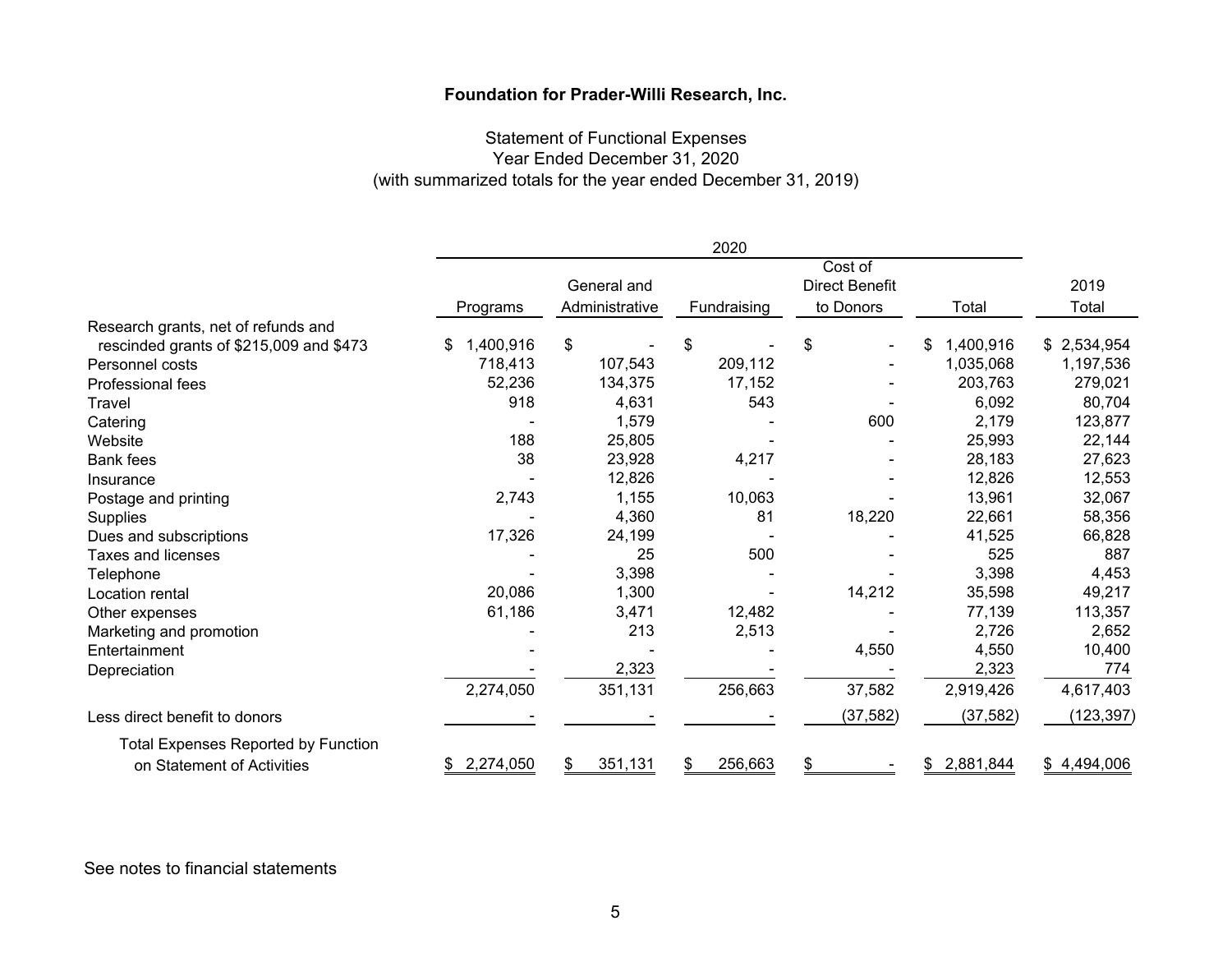## Statement of Functional Expenses Year Ended December 31, 2020 (with summarized totals for the year ended December 31, 2019)

|                                            |                 |                | 2020        |                       |                 |             |
|--------------------------------------------|-----------------|----------------|-------------|-----------------------|-----------------|-------------|
|                                            | Cost of         |                |             |                       |                 |             |
|                                            |                 | General and    |             | <b>Direct Benefit</b> |                 | 2019        |
|                                            | Programs        | Administrative | Fundraising | to Donors             | Total           | Total       |
| Research grants, net of refunds and        |                 |                |             |                       |                 |             |
| rescinded grants of \$215,009 and \$473    | 1,400,916<br>\$ | \$             | \$          | \$                    | 1,400,916<br>S. | \$2,534,954 |
| Personnel costs                            | 718,413         | 107,543        | 209,112     |                       | 1,035,068       | 1,197,536   |
| Professional fees                          | 52,236          | 134,375        | 17,152      |                       | 203,763         | 279,021     |
| Travel                                     | 918             | 4,631          | 543         |                       | 6,092           | 80,704      |
| Catering                                   |                 | 1,579          |             | 600                   | 2,179           | 123,877     |
| Website                                    | 188             | 25,805         |             |                       | 25,993          | 22,144      |
| <b>Bank fees</b>                           | 38              | 23,928         | 4,217       |                       | 28,183          | 27,623      |
| Insurance                                  |                 | 12,826         |             |                       | 12,826          | 12,553      |
| Postage and printing                       | 2,743           | 1,155          | 10,063      |                       | 13,961          | 32,067      |
| Supplies                                   |                 | 4,360          | 81          | 18,220                | 22,661          | 58,356      |
| Dues and subscriptions                     | 17,326          | 24,199         |             |                       | 41,525          | 66,828      |
| <b>Taxes and licenses</b>                  |                 | 25             | 500         |                       | 525             | 887         |
| Telephone                                  |                 | 3,398          |             |                       | 3,398           | 4,453       |
| Location rental                            | 20,086          | 1,300          |             | 14,212                | 35,598          | 49,217      |
| Other expenses                             | 61,186          | 3,471          | 12,482      |                       | 77,139          | 113,357     |
| Marketing and promotion                    |                 | 213            | 2,513       |                       | 2,726           | 2,652       |
| Entertainment                              |                 |                |             | 4,550                 | 4,550           | 10,400      |
| Depreciation                               |                 | 2,323          |             |                       | 2,323           | 774         |
|                                            | 2,274,050       | 351,131        | 256,663     | 37,582                | 2,919,426       | 4,617,403   |
| Less direct benefit to donors              |                 |                |             | (37, 582)             | (37, 582)       | (123, 397)  |
| <b>Total Expenses Reported by Function</b> |                 |                |             |                       |                 |             |
| on Statement of Activities                 | 2,274,050       | 351,131<br>\$  | 256,663     | \$                    | 2,881,844       | \$4,494,006 |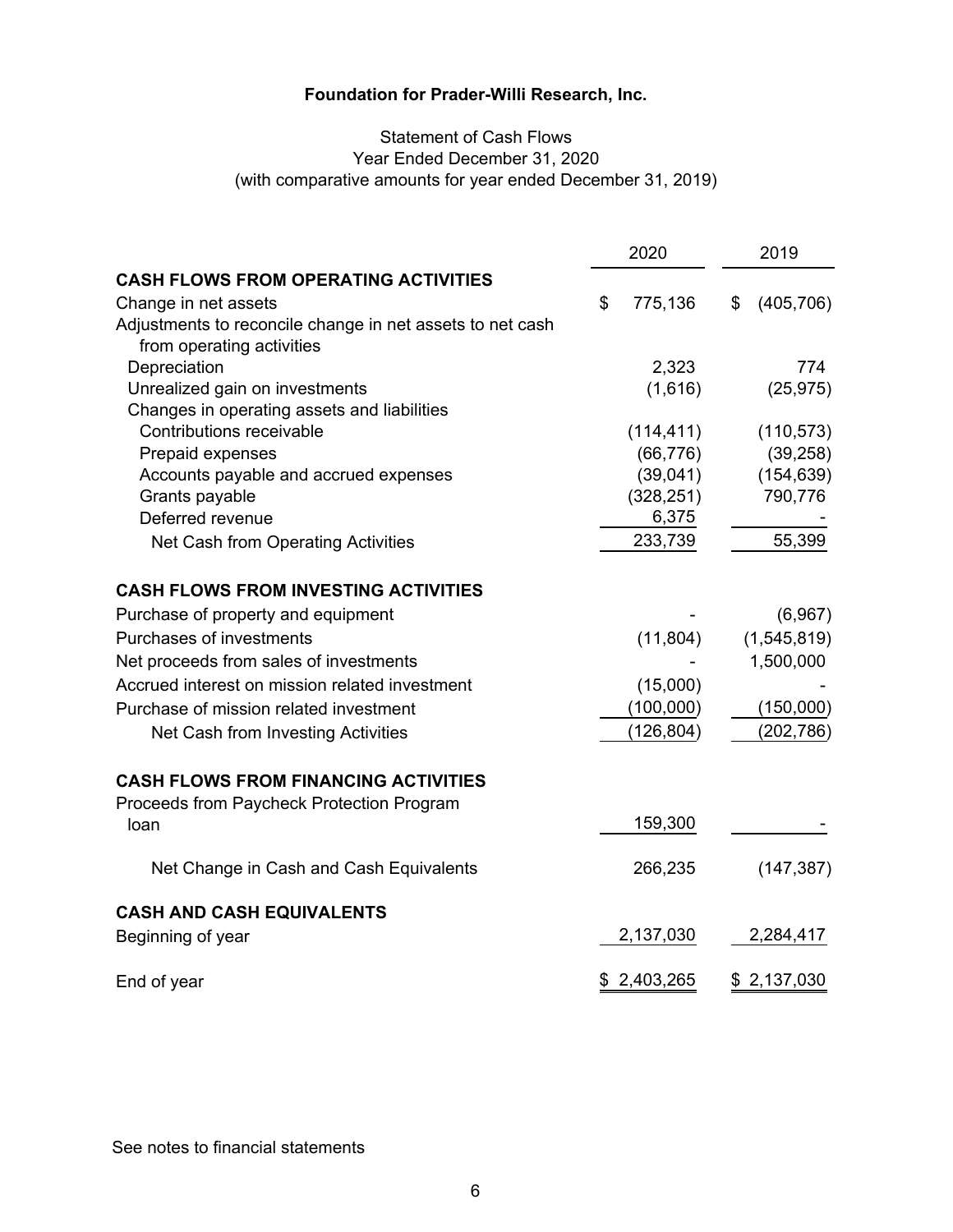## Statement of Cash Flows Year Ended December 31, 2020 (with comparative amounts for year ended December 31, 2019)

|                                                           | 2020          | 2019             |
|-----------------------------------------------------------|---------------|------------------|
| <b>CASH FLOWS FROM OPERATING ACTIVITIES</b>               |               |                  |
| Change in net assets                                      | \$<br>775,136 | \$<br>(405, 706) |
| Adjustments to reconcile change in net assets to net cash |               |                  |
| from operating activities                                 |               |                  |
| Depreciation                                              | 2,323         | 774              |
| Unrealized gain on investments                            | (1,616)       | (25, 975)        |
| Changes in operating assets and liabilities               |               |                  |
| Contributions receivable                                  | (114, 411)    | (110, 573)       |
| Prepaid expenses                                          | (66, 776)     | (39, 258)        |
| Accounts payable and accrued expenses                     | (39,041)      | (154, 639)       |
| Grants payable                                            | (328, 251)    | 790,776          |
| Deferred revenue                                          | 6,375         |                  |
| Net Cash from Operating Activities                        | 233,739       | 55,399           |
| <b>CASH FLOWS FROM INVESTING ACTIVITIES</b>               |               |                  |
| Purchase of property and equipment                        |               | (6,967)          |
| <b>Purchases of investments</b>                           | (11, 804)     | (1,545,819)      |
| Net proceeds from sales of investments                    |               | 1,500,000        |
| Accrued interest on mission related investment            | (15,000)      |                  |
| Purchase of mission related investment                    | (100,000)     | (150,000)        |
| Net Cash from Investing Activities                        | (126, 804)    | (202, 786)       |
| <b>CASH FLOWS FROM FINANCING ACTIVITIES</b>               |               |                  |
| Proceeds from Paycheck Protection Program                 |               |                  |
| loan                                                      | 159,300       |                  |
|                                                           |               |                  |
| Net Change in Cash and Cash Equivalents                   | 266,235       | (147, 387)       |
| <b>CASH AND CASH EQUIVALENTS</b>                          |               |                  |
| Beginning of year                                         | 2,137,030     | 2,284,417        |
| End of year                                               | \$2,403,265   | \$2,137,030      |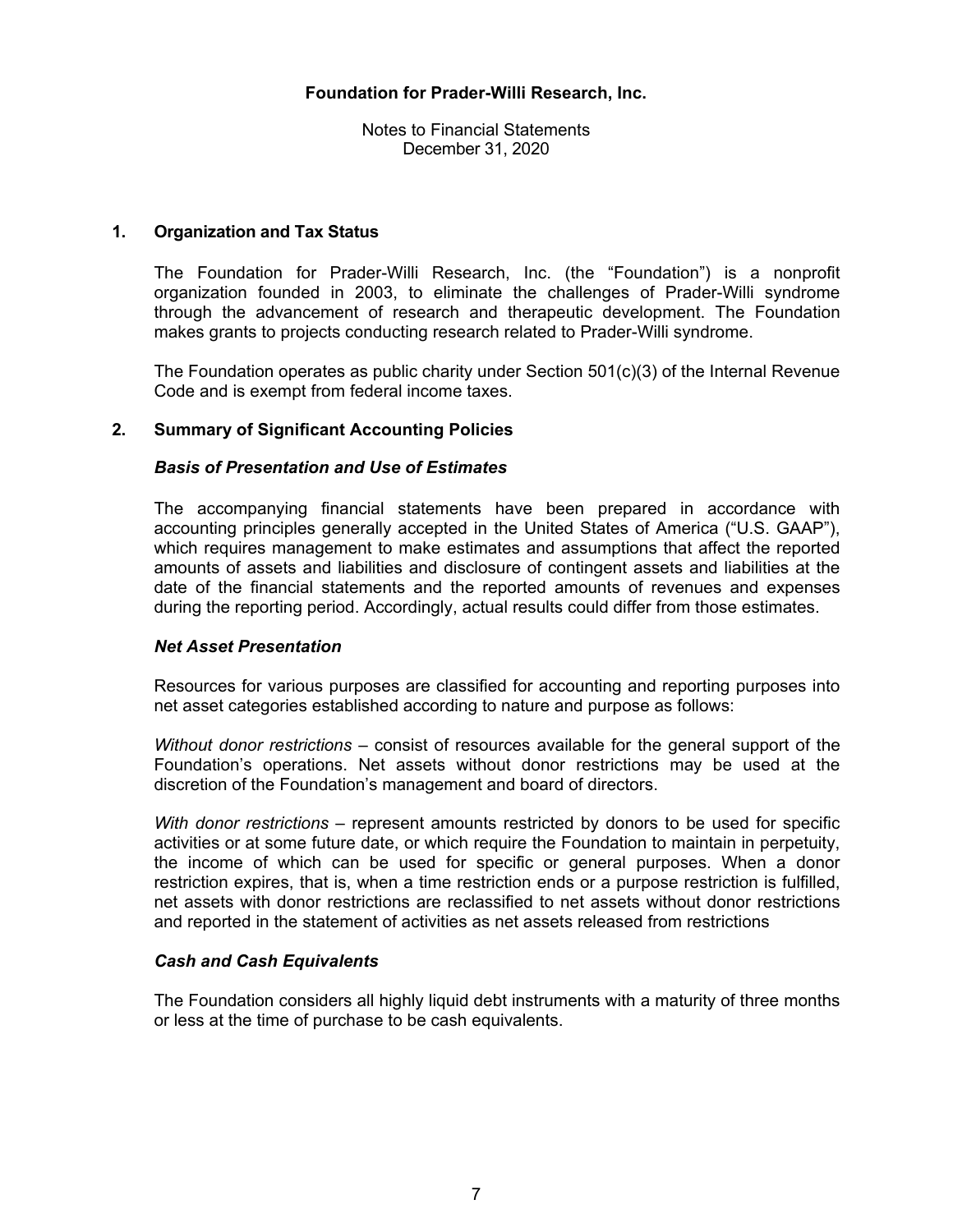Notes to Financial Statements December 31, 2020

#### **1. Organization and Tax Status**

The Foundation for Prader-Willi Research, Inc. (the "Foundation") is a nonprofit organization founded in 2003, to eliminate the challenges of Prader-Willi syndrome through the advancement of research and therapeutic development. The Foundation makes grants to projects conducting research related to Prader-Willi syndrome.

The Foundation operates as public charity under Section 501(c)(3) of the Internal Revenue Code and is exempt from federal income taxes.

#### **2. Summary of Significant Accounting Policies**

#### *Basis of Presentation and Use of Estimates*

The accompanying financial statements have been prepared in accordance with accounting principles generally accepted in the United States of America ("U.S. GAAP"), which requires management to make estimates and assumptions that affect the reported amounts of assets and liabilities and disclosure of contingent assets and liabilities at the date of the financial statements and the reported amounts of revenues and expenses during the reporting period. Accordingly, actual results could differ from those estimates.

#### *Net Asset Presentation*

Resources for various purposes are classified for accounting and reporting purposes into net asset categories established according to nature and purpose as follows:

*Without donor restrictions* – consist of resources available for the general support of the Foundation's operations. Net assets without donor restrictions may be used at the discretion of the Foundation's management and board of directors.

*With donor restrictions* – represent amounts restricted by donors to be used for specific activities or at some future date, or which require the Foundation to maintain in perpetuity, the income of which can be used for specific or general purposes. When a donor restriction expires, that is, when a time restriction ends or a purpose restriction is fulfilled, net assets with donor restrictions are reclassified to net assets without donor restrictions and reported in the statement of activities as net assets released from restrictions

#### *Cash and Cash Equivalents*

The Foundation considers all highly liquid debt instruments with a maturity of three months or less at the time of purchase to be cash equivalents.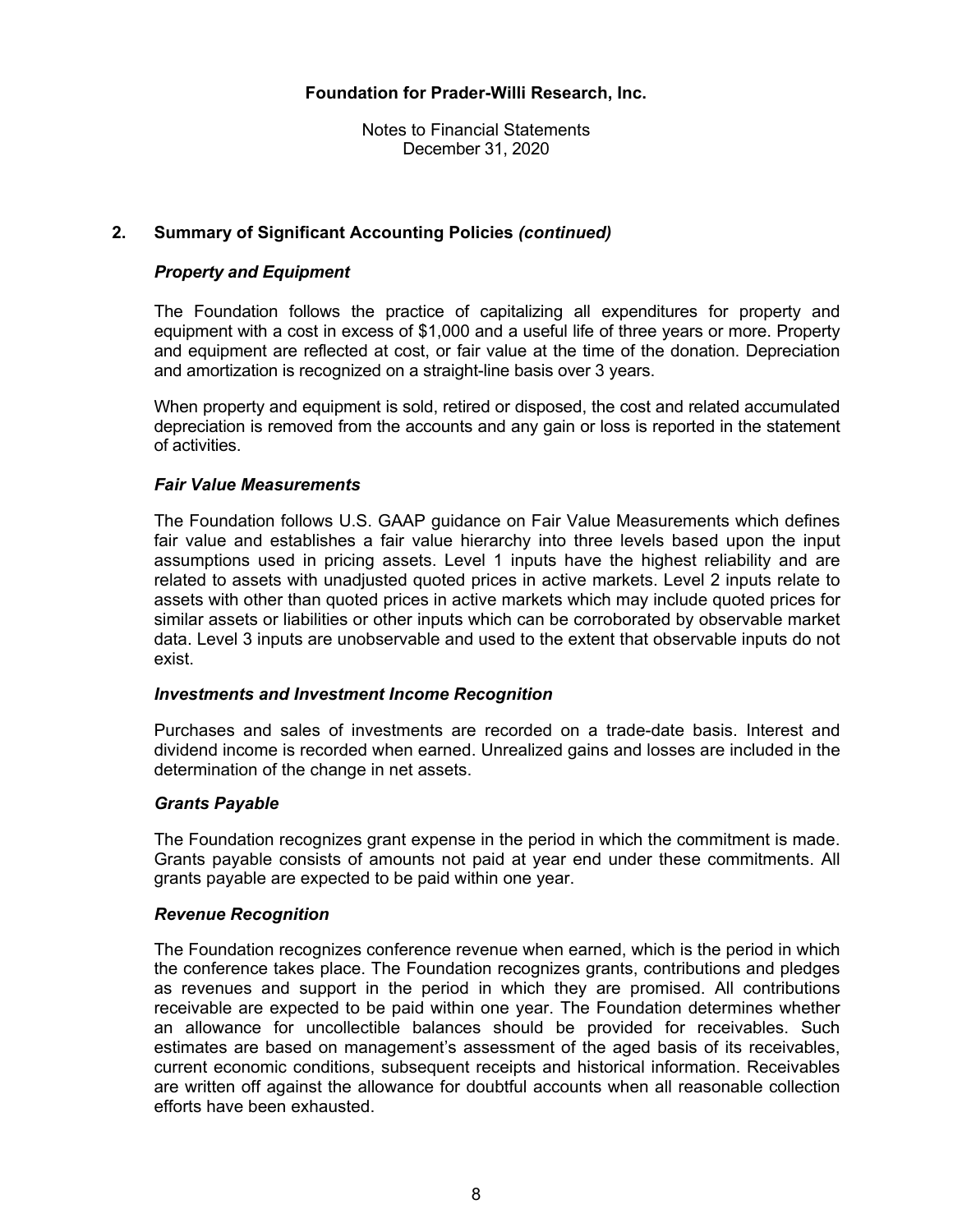Notes to Financial Statements December 31, 2020

## **2. Summary of Significant Accounting Policies** *(continued)*

## *Property and Equipment*

The Foundation follows the practice of capitalizing all expenditures for property and equipment with a cost in excess of \$1,000 and a useful life of three years or more. Property and equipment are reflected at cost, or fair value at the time of the donation. Depreciation and amortization is recognized on a straight-line basis over 3 years.

When property and equipment is sold, retired or disposed, the cost and related accumulated depreciation is removed from the accounts and any gain or loss is reported in the statement of activities.

#### *Fair Value Measurements*

The Foundation follows U.S. GAAP guidance on Fair Value Measurements which defines fair value and establishes a fair value hierarchy into three levels based upon the input assumptions used in pricing assets. Level 1 inputs have the highest reliability and are related to assets with unadjusted quoted prices in active markets. Level 2 inputs relate to assets with other than quoted prices in active markets which may include quoted prices for similar assets or liabilities or other inputs which can be corroborated by observable market data. Level 3 inputs are unobservable and used to the extent that observable inputs do not exist.

#### *Investments and Investment Income Recognition*

Purchases and sales of investments are recorded on a trade-date basis. Interest and dividend income is recorded when earned. Unrealized gains and losses are included in the determination of the change in net assets.

#### *Grants Payable*

The Foundation recognizes grant expense in the period in which the commitment is made. Grants payable consists of amounts not paid at year end under these commitments. All grants payable are expected to be paid within one year.

#### *Revenue Recognition*

The Foundation recognizes conference revenue when earned, which is the period in which the conference takes place. The Foundation recognizes grants, contributions and pledges as revenues and support in the period in which they are promised. All contributions receivable are expected to be paid within one year. The Foundation determines whether an allowance for uncollectible balances should be provided for receivables. Such estimates are based on management's assessment of the aged basis of its receivables, current economic conditions, subsequent receipts and historical information. Receivables are written off against the allowance for doubtful accounts when all reasonable collection efforts have been exhausted.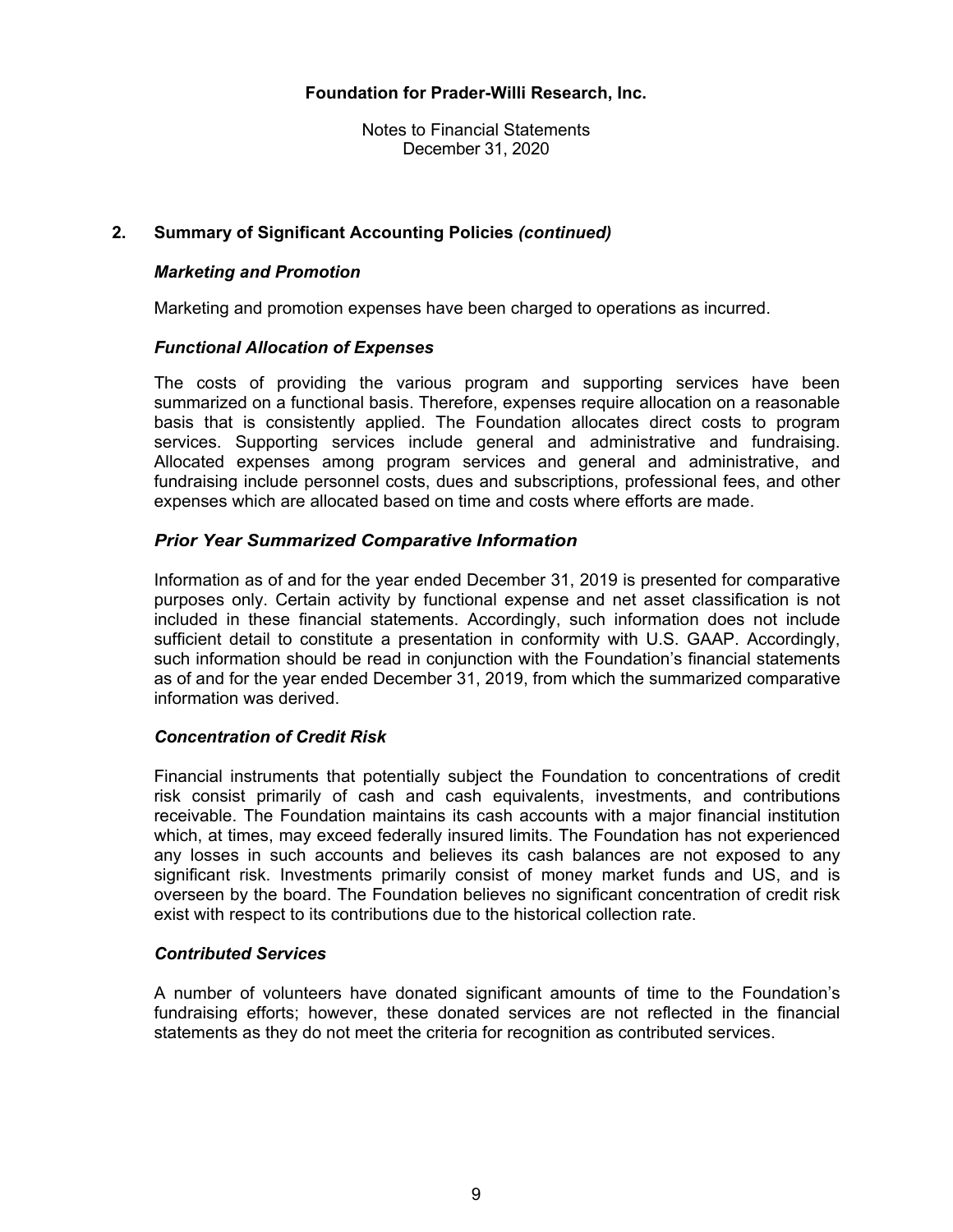Notes to Financial Statements December 31, 2020

#### **2. Summary of Significant Accounting Policies** *(continued)*

#### *Marketing and Promotion*

Marketing and promotion expenses have been charged to operations as incurred.

#### *Functional Allocation of Expenses*

The costs of providing the various program and supporting services have been summarized on a functional basis. Therefore, expenses require allocation on a reasonable basis that is consistently applied. The Foundation allocates direct costs to program services. Supporting services include general and administrative and fundraising. Allocated expenses among program services and general and administrative, and fundraising include personnel costs, dues and subscriptions, professional fees, and other expenses which are allocated based on time and costs where efforts are made.

#### *Prior Year Summarized Comparative Information*

Information as of and for the year ended December 31, 2019 is presented for comparative purposes only. Certain activity by functional expense and net asset classification is not included in these financial statements. Accordingly, such information does not include sufficient detail to constitute a presentation in conformity with U.S. GAAP. Accordingly, such information should be read in conjunction with the Foundation's financial statements as of and for the year ended December 31, 2019, from which the summarized comparative information was derived.

#### *Concentration of Credit Risk*

Financial instruments that potentially subject the Foundation to concentrations of credit risk consist primarily of cash and cash equivalents, investments, and contributions receivable. The Foundation maintains its cash accounts with a major financial institution which, at times, may exceed federally insured limits. The Foundation has not experienced any losses in such accounts and believes its cash balances are not exposed to any significant risk. Investments primarily consist of money market funds and US, and is overseen by the board. The Foundation believes no significant concentration of credit risk exist with respect to its contributions due to the historical collection rate.

#### *Contributed Services*

A number of volunteers have donated significant amounts of time to the Foundation's fundraising efforts; however, these donated services are not reflected in the financial statements as they do not meet the criteria for recognition as contributed services.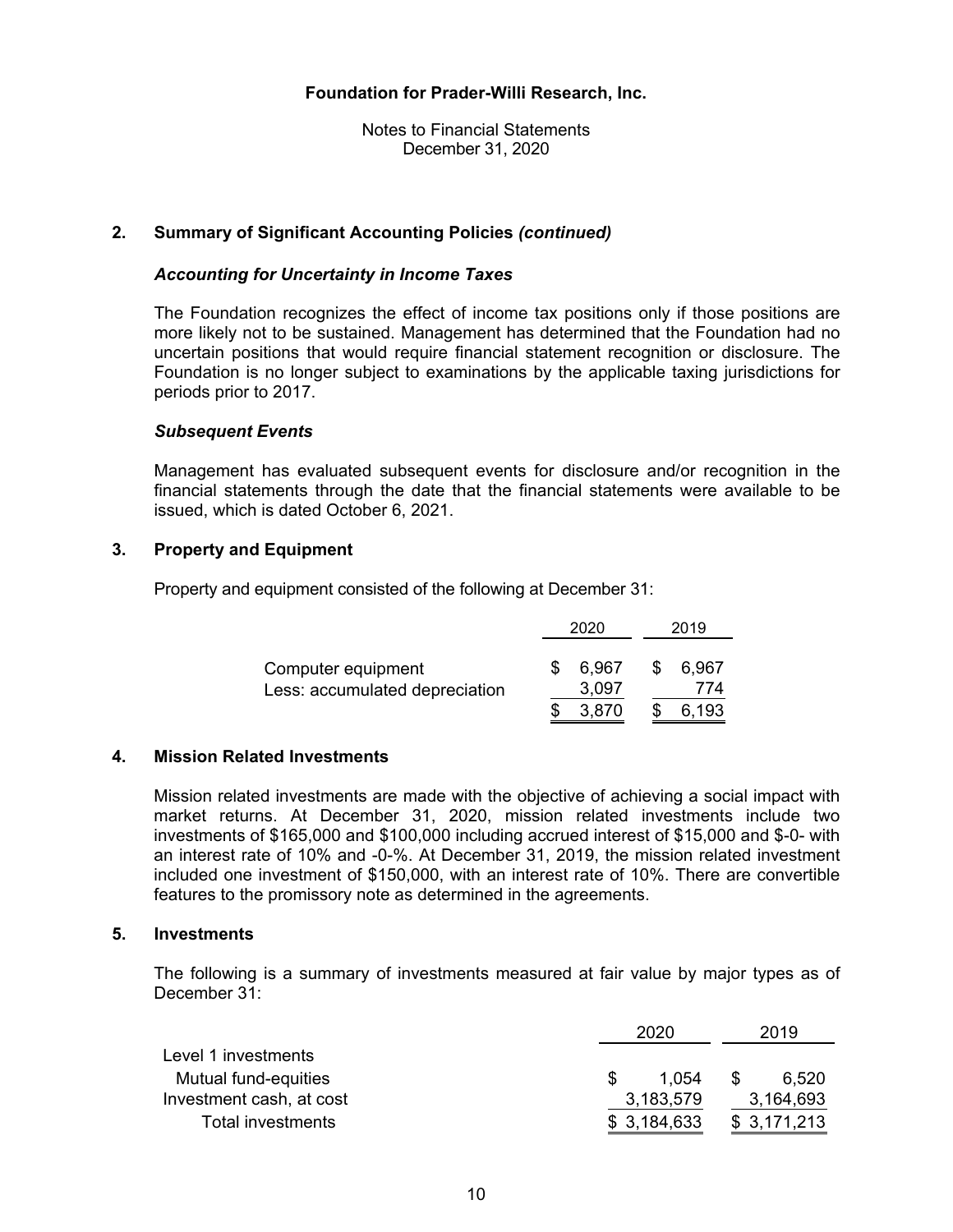Notes to Financial Statements December 31, 2020

#### **2. Summary of Significant Accounting Policies** *(continued)*

#### *Accounting for Uncertainty in Income Taxes*

The Foundation recognizes the effect of income tax positions only if those positions are more likely not to be sustained. Management has determined that the Foundation had no uncertain positions that would require financial statement recognition or disclosure. The Foundation is no longer subject to examinations by the applicable taxing jurisdictions for periods prior to 2017.

#### *Subsequent Events*

Management has evaluated subsequent events for disclosure and/or recognition in the financial statements through the date that the financial statements were available to be issued, which is dated October 6, 2021.

#### **3. Property and Equipment**

Property and equipment consisted of the following at December 31:

|                                                      | 2020           |     | 2019         |
|------------------------------------------------------|----------------|-----|--------------|
| Computer equipment<br>Less: accumulated depreciation | 6.967<br>3,097 | S   | 6,967<br>774 |
|                                                      | 3.870          | \$. | 6,193        |

#### **4. Mission Related Investments**

Mission related investments are made with the objective of achieving a social impact with market returns. At December 31, 2020, mission related investments include two investments of \$165,000 and \$100,000 including accrued interest of \$15,000 and \$-0- with an interest rate of 10% and -0-%. At December 31, 2019, the mission related investment included one investment of \$150,000, with an interest rate of 10%. There are convertible features to the promissory note as determined in the agreements.

#### **5. Investments**

The following is a summary of investments measured at fair value by major types as of December 31:

|                          | 2020        | 2019         |
|--------------------------|-------------|--------------|
| Level 1 investments      |             |              |
| Mutual fund-equities     | 1.054       | 6.520<br>\$. |
| Investment cash, at cost | 3,183,579   | 3,164,693    |
| Total investments        | \$3,184,633 | \$3,171,213  |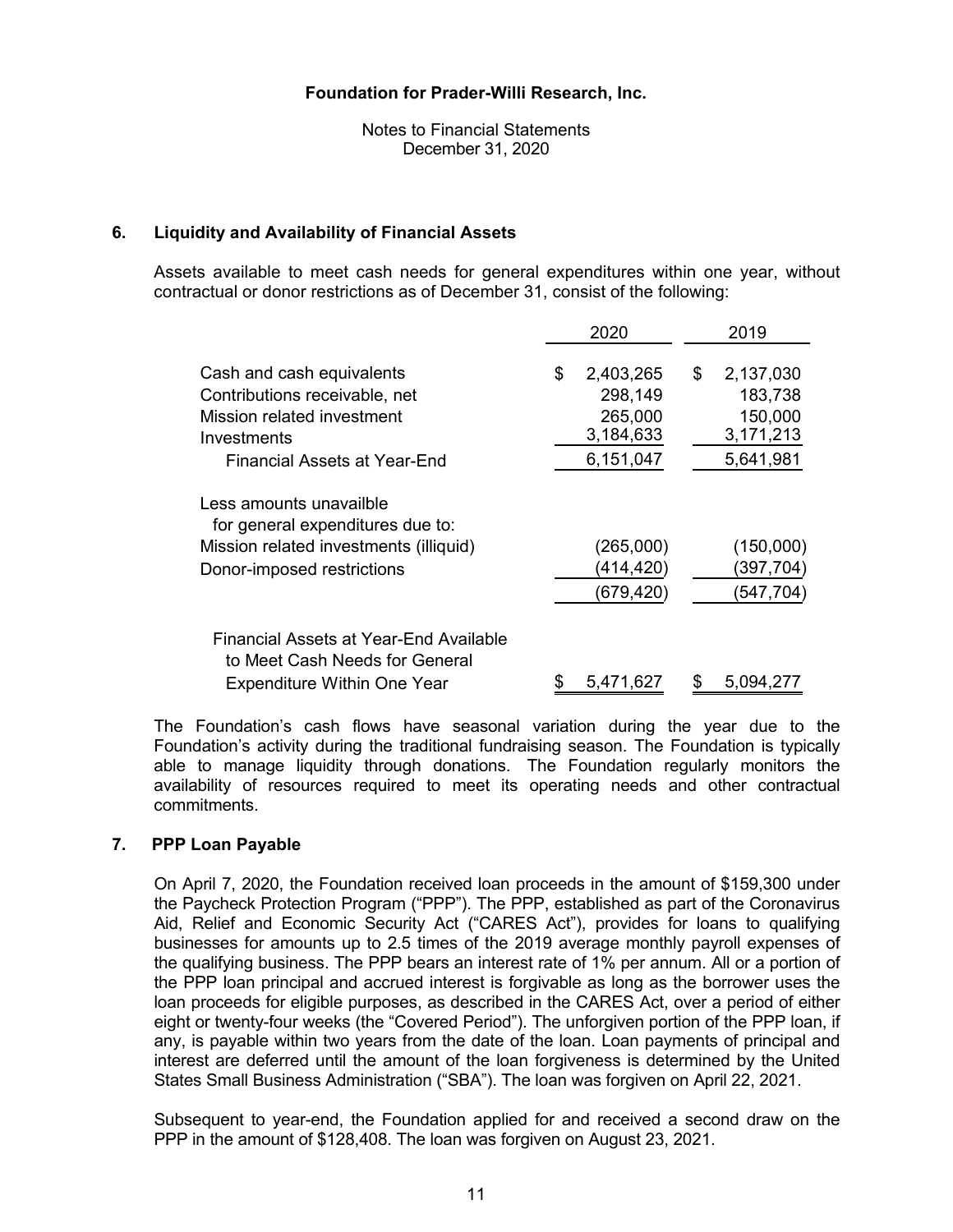Notes to Financial Statements December 31, 2020

#### **6. Liquidity and Availability of Financial Assets**

Assets available to meet cash needs for general expenditures within one year, without contractual or donor restrictions as of December 31, consist of the following:

|                                                                                                                                         |    | 2020                                                      |    | 2019                                                      |
|-----------------------------------------------------------------------------------------------------------------------------------------|----|-----------------------------------------------------------|----|-----------------------------------------------------------|
| Cash and cash equivalents<br>Contributions receivable, net<br>Mission related investment<br>Investments<br>Financial Assets at Year-End |    | 2,403,265<br>298,149<br>265,000<br>3,184,633<br>6,151,047 | \$ | 2,137,030<br>183,738<br>150,000<br>3,171,213<br>5,641,981 |
| Less amounts unavailble<br>for general expenditures due to:<br>Mission related investments (illiquid)<br>Donor-imposed restrictions     |    | (265,000)<br>(414,420)<br>(679, 420)                      |    | (150,000)<br>(397,704)<br>(547, 704)                      |
| Financial Assets at Year-End Available<br>to Meet Cash Needs for General<br><b>Expenditure Within One Year</b>                          | \$ | 5,471,627                                                 | S  | 5,094,277                                                 |

The Foundation's cash flows have seasonal variation during the year due to the Foundation's activity during the traditional fundraising season. The Foundation is typically able to manage liquidity through donations. The Foundation regularly monitors the availability of resources required to meet its operating needs and other contractual commitments.

#### **7. PPP Loan Payable**

On April 7, 2020, the Foundation received loan proceeds in the amount of \$159,300 under the Paycheck Protection Program ("PPP"). The PPP, established as part of the Coronavirus Aid, Relief and Economic Security Act ("CARES Act"), provides for loans to qualifying businesses for amounts up to 2.5 times of the 2019 average monthly payroll expenses of the qualifying business. The PPP bears an interest rate of 1% per annum. All or a portion of the PPP loan principal and accrued interest is forgivable as long as the borrower uses the loan proceeds for eligible purposes, as described in the CARES Act, over a period of either eight or twenty-four weeks (the "Covered Period"). The unforgiven portion of the PPP loan, if any, is payable within two years from the date of the loan. Loan payments of principal and interest are deferred until the amount of the loan forgiveness is determined by the United States Small Business Administration ("SBA"). The loan was forgiven on April 22, 2021.

Subsequent to year-end, the Foundation applied for and received a second draw on the PPP in the amount of \$128,408. The loan was forgiven on August 23, 2021.